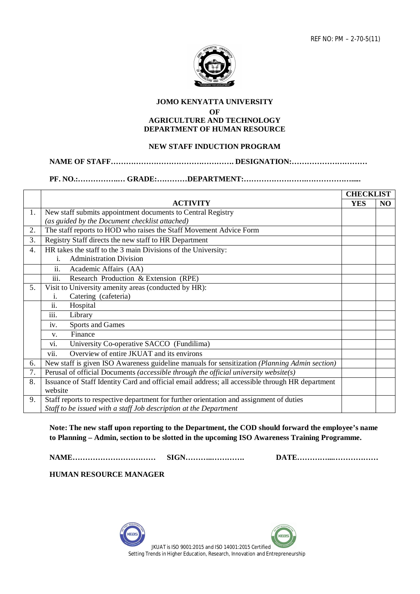

## **JOMO KENYATTA UNIVERSITY**

**OF**

#### **AGRICULTURE AND TECHNOLOGY DEPARTMENT OF HUMAN RESOURCE**

# **NEW STAFF INDUCTION PROGRAM**

#### **NAME OF STAFF…………………………………………. DESIGNATION:…………………………**

## **PF. NO.:…………….… GRADE:…………DEPARTMENT:…………………….……………….....**

|    |                                                                                                  | <b>CHECKLIST</b> |     |  |  |  |
|----|--------------------------------------------------------------------------------------------------|------------------|-----|--|--|--|
|    | <b>ACTIVITY</b>                                                                                  | <b>YES</b>       | NO. |  |  |  |
| 1. | New staff submits appointment documents to Central Registry                                      |                  |     |  |  |  |
|    | (as guided by the Document checklist attached)                                                   |                  |     |  |  |  |
| 2. | The staff reports to HOD who raises the Staff Movement Advice Form                               |                  |     |  |  |  |
| 3. | Registry Staff directs the new staff to HR Department                                            |                  |     |  |  |  |
| 4. | HR takes the staff to the 3 main Divisions of the University:                                    |                  |     |  |  |  |
|    | <b>Administration Division</b><br>i.                                                             |                  |     |  |  |  |
|    | ii.<br>Academic Affairs (AA)                                                                     |                  |     |  |  |  |
|    | iii.<br>Research Production & Extension (RPE)                                                    |                  |     |  |  |  |
| 5. | Visit to University amenity areas (conducted by HR):                                             |                  |     |  |  |  |
|    | Catering (cafeteria)<br>$\mathbf{1}$ .                                                           |                  |     |  |  |  |
|    | $\overline{ii}$ .<br>Hospital                                                                    |                  |     |  |  |  |
|    | Library<br>111.                                                                                  |                  |     |  |  |  |
|    | Sports and Games<br>iv.                                                                          |                  |     |  |  |  |
|    | Finance<br>$V_{\rm r}$                                                                           |                  |     |  |  |  |
|    | University Co-operative SACCO (Fundilima)<br>V1.                                                 |                  |     |  |  |  |
|    | vii.<br>Overview of entire JKUAT and its environs                                                |                  |     |  |  |  |
| 6. | New staff is given ISO Awareness guideline manuals for sensitization (Planning Admin section)    |                  |     |  |  |  |
| 7. | Perusal of official Documents (accessible through the official university website(s)             |                  |     |  |  |  |
| 8. | Issuance of Staff Identity Card and official email address; all accessible through HR department |                  |     |  |  |  |
|    | website                                                                                          |                  |     |  |  |  |
| 9. | Staff reports to respective department for further orientation and assignment of duties          |                  |     |  |  |  |
|    | Staff to be issued with a staff Job description at the Department                                |                  |     |  |  |  |

**Note: The new staff upon reporting to the Department, the COD should forward the employee's name to Planning – Admin, section to be slotted in the upcoming ISO Awareness Training Programme.**

**NAME…………………………… SIGN………..…………. DATE…………...………………** 

**HUMAN RESOURCE MANAGER**